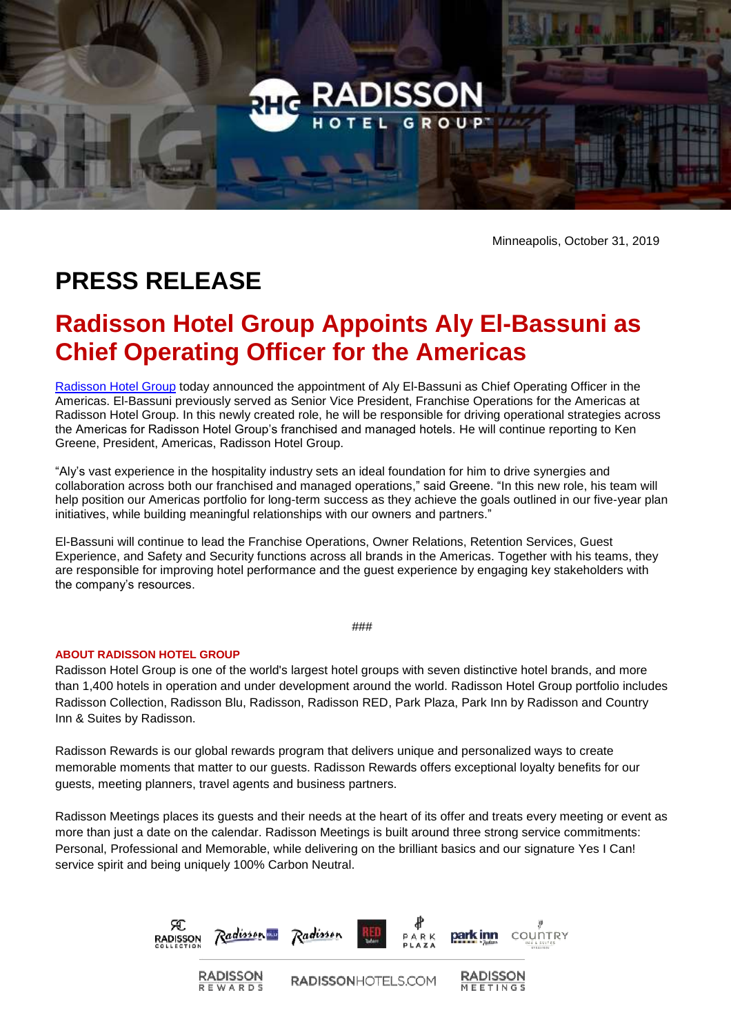

Minneapolis, October 31, 2019

## **PRESS RELEASE**

## **Radisson Hotel Group Appoints Aly El-Bassuni as Chief Operating Officer for the Americas**

[Radisson Hotel Group](https://www.radissonhotelgroup.com/) today announced the appointment of Aly El-Bassuni as Chief Operating Officer in the Americas. El-Bassuni previously served as Senior Vice President, Franchise Operations for the Americas at Radisson Hotel Group. In this newly created role, he will be responsible for driving operational strategies across the Americas for Radisson Hotel Group's franchised and managed hotels. He will continue reporting to Ken Greene, President, Americas, Radisson Hotel Group.

"Aly's vast experience in the hospitality industry sets an ideal foundation for him to drive synergies and collaboration across both our franchised and managed operations," said Greene. "In this new role, his team will help position our Americas portfolio for long-term success as they achieve the goals outlined in our five-year plan initiatives, while building meaningful relationships with our owners and partners."

El-Bassuni will continue to lead the Franchise Operations, Owner Relations, Retention Services, Guest Experience, and Safety and Security functions across all brands in the Americas. Together with his teams, they are responsible for improving hotel performance and the guest experience by engaging key stakeholders with the company's resources.

###

## **ABOUT RADISSON HOTEL GROUP**

Radisson Hotel Group is one of the world's largest hotel groups with seven distinctive hotel brands, and more than 1,400 hotels in operation and under development around the world. Radisson Hotel Group portfolio includes Radisson Collection, Radisson Blu, Radisson, Radisson RED, Park Plaza, Park Inn by Radisson and Country Inn & Suites by Radisson.

Radisson Rewards is our global rewards program that delivers unique and personalized ways to create memorable moments that matter to our guests. Radisson Rewards offers exceptional loyalty benefits for our guests, meeting planners, travel agents and business partners.

Radisson Meetings places its guests and their needs at the heart of its offer and treats every meeting or event as more than just a date on the calendar. Radisson Meetings is built around three strong service commitments: Personal, Professional and Memorable, while delivering on the brilliant basics and our signature Yes I Can! service spirit and being uniquely 100% Carbon Neutral.